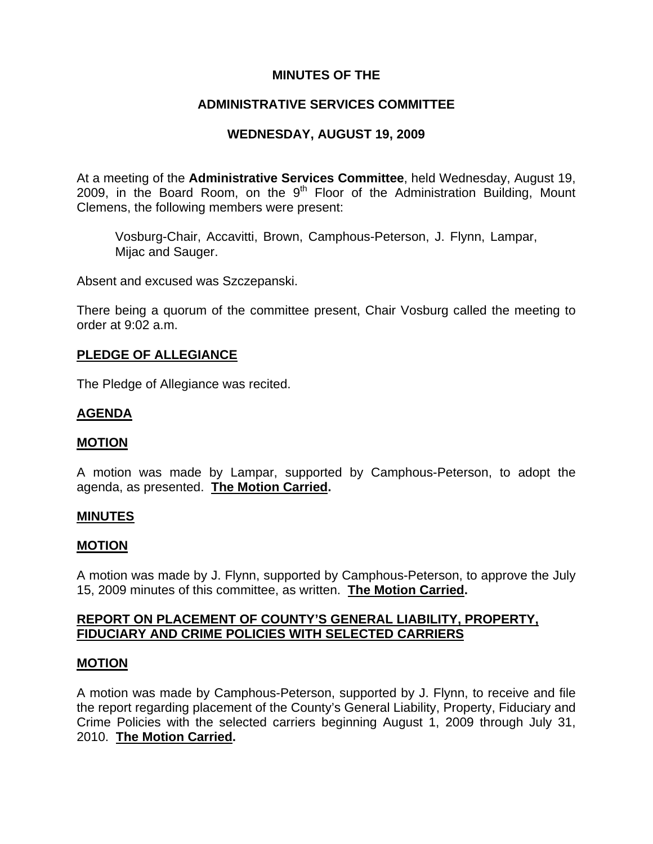# **MINUTES OF THE**

# **ADMINISTRATIVE SERVICES COMMITTEE**

# **WEDNESDAY, AUGUST 19, 2009**

At a meeting of the **Administrative Services Committee**, held Wednesday, August 19, 2009, in the Board Room, on the  $9<sup>th</sup>$  Floor of the Administration Building, Mount Clemens, the following members were present:

Vosburg-Chair, Accavitti, Brown, Camphous-Peterson, J. Flynn, Lampar, Mijac and Sauger.

Absent and excused was Szczepanski.

There being a quorum of the committee present, Chair Vosburg called the meeting to order at 9:02 a.m.

### **PLEDGE OF ALLEGIANCE**

The Pledge of Allegiance was recited.

### **AGENDA**

#### **MOTION**

A motion was made by Lampar, supported by Camphous-Peterson, to adopt the agenda, as presented. **The Motion Carried.** 

#### **MINUTES**

#### **MOTION**

A motion was made by J. Flynn, supported by Camphous-Peterson, to approve the July 15, 2009 minutes of this committee, as written. **The Motion Carried.** 

### **REPORT ON PLACEMENT OF COUNTY'S GENERAL LIABILITY, PROPERTY, FIDUCIARY AND CRIME POLICIES WITH SELECTED CARRIERS**

### **MOTION**

A motion was made by Camphous-Peterson, supported by J. Flynn, to receive and file the report regarding placement of the County's General Liability, Property, Fiduciary and Crime Policies with the selected carriers beginning August 1, 2009 through July 31, 2010. **The Motion Carried.**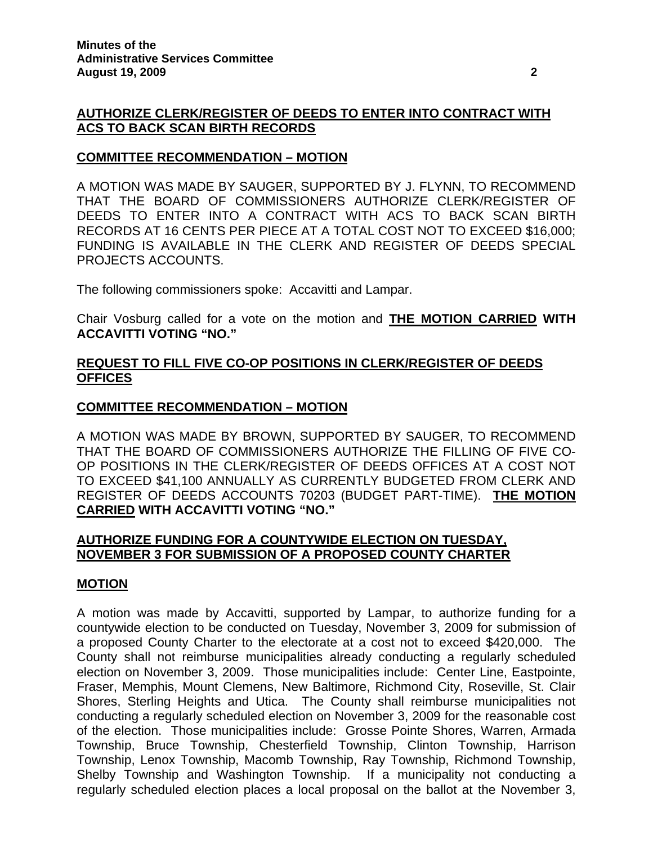# **AUTHORIZE CLERK/REGISTER OF DEEDS TO ENTER INTO CONTRACT WITH ACS TO BACK SCAN BIRTH RECORDS**

### **COMMITTEE RECOMMENDATION – MOTION**

A MOTION WAS MADE BY SAUGER, SUPPORTED BY J. FLYNN, TO RECOMMEND THAT THE BOARD OF COMMISSIONERS AUTHORIZE CLERK/REGISTER OF DEEDS TO ENTER INTO A CONTRACT WITH ACS TO BACK SCAN BIRTH RECORDS AT 16 CENTS PER PIECE AT A TOTAL COST NOT TO EXCEED \$16,000; FUNDING IS AVAILABLE IN THE CLERK AND REGISTER OF DEEDS SPECIAL PROJECTS ACCOUNTS.

The following commissioners spoke: Accavitti and Lampar.

Chair Vosburg called for a vote on the motion and **THE MOTION CARRIED WITH ACCAVITTI VOTING "NO."** 

# **REQUEST TO FILL FIVE CO-OP POSITIONS IN CLERK/REGISTER OF DEEDS OFFICES**

### **COMMITTEE RECOMMENDATION – MOTION**

A MOTION WAS MADE BY BROWN, SUPPORTED BY SAUGER, TO RECOMMEND THAT THE BOARD OF COMMISSIONERS AUTHORIZE THE FILLING OF FIVE CO-OP POSITIONS IN THE CLERK/REGISTER OF DEEDS OFFICES AT A COST NOT TO EXCEED \$41,100 ANNUALLY AS CURRENTLY BUDGETED FROM CLERK AND REGISTER OF DEEDS ACCOUNTS 70203 (BUDGET PART-TIME). **THE MOTION CARRIED WITH ACCAVITTI VOTING "NO."** 

### **AUTHORIZE FUNDING FOR A COUNTYWIDE ELECTION ON TUESDAY, NOVEMBER 3 FOR SUBMISSION OF A PROPOSED COUNTY CHARTER**

### **MOTION**

A motion was made by Accavitti, supported by Lampar, to authorize funding for a countywide election to be conducted on Tuesday, November 3, 2009 for submission of a proposed County Charter to the electorate at a cost not to exceed \$420,000. The County shall not reimburse municipalities already conducting a regularly scheduled election on November 3, 2009. Those municipalities include: Center Line, Eastpointe, Fraser, Memphis, Mount Clemens, New Baltimore, Richmond City, Roseville, St. Clair Shores, Sterling Heights and Utica. The County shall reimburse municipalities not conducting a regularly scheduled election on November 3, 2009 for the reasonable cost of the election. Those municipalities include: Grosse Pointe Shores, Warren, Armada Township, Bruce Township, Chesterfield Township, Clinton Township, Harrison Township, Lenox Township, Macomb Township, Ray Township, Richmond Township, Shelby Township and Washington Township. If a municipality not conducting a regularly scheduled election places a local proposal on the ballot at the November 3,